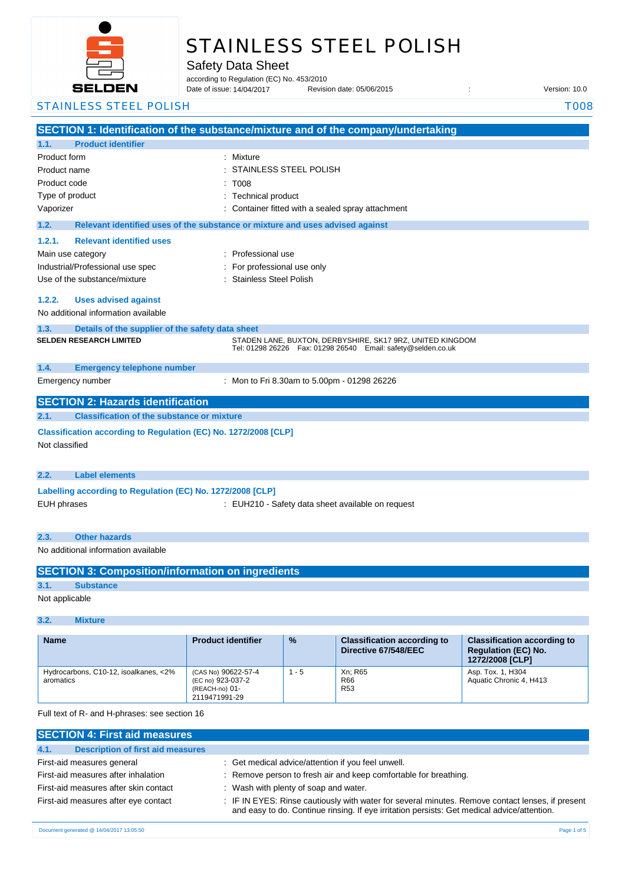

# STAINLESS STEEL POLISH

Safety Data Sheet

according to Regulation (EC) No. 453/2010

Date of issue: Revision date: 05/06/2015 : Version: 10.0 Date of issue: 14/04/2017

## STAINLESS STEEL POLISH TOOS

|                                                            |                                                                               | SECTION 1: Identification of the substance/mixture and of the company/undertaking                                               |
|------------------------------------------------------------|-------------------------------------------------------------------------------|---------------------------------------------------------------------------------------------------------------------------------|
| <b>Product identifier</b><br>1.1.                          |                                                                               |                                                                                                                                 |
| Product form                                               |                                                                               | : Mixture                                                                                                                       |
| Product name                                               |                                                                               | STAINLESS STEEL POLISH                                                                                                          |
| Product code                                               |                                                                               | T008                                                                                                                            |
| Type of product                                            |                                                                               | <b>Technical product</b>                                                                                                        |
| Vaporizer                                                  |                                                                               | Container fitted with a sealed spray attachment                                                                                 |
| 1.2.                                                       | Relevant identified uses of the substance or mixture and uses advised against |                                                                                                                                 |
| 1.2.1.                                                     | <b>Relevant identified uses</b>                                               |                                                                                                                                 |
| Main use category                                          |                                                                               | : Professional use                                                                                                              |
| Industrial/Professional use spec                           |                                                                               | For professional use only                                                                                                       |
| Use of the substance/mixture                               |                                                                               | <b>Stainless Steel Polish</b>                                                                                                   |
| 1.2.2.                                                     | <b>Uses advised against</b>                                                   |                                                                                                                                 |
| No additional information available                        |                                                                               |                                                                                                                                 |
|                                                            |                                                                               |                                                                                                                                 |
| 1.3.                                                       | Details of the supplier of the safety data sheet                              |                                                                                                                                 |
| <b>SELDEN RESEARCH LIMITED</b>                             |                                                                               | STADEN LANE, BUXTON, DERBYSHIRE, SK17 9RZ, UNITED KINGDOM<br>Tel: 01298 26226    Fax: 01298 26540    Email: safety@selden.co.uk |
|                                                            |                                                                               |                                                                                                                                 |
| 1.4.                                                       | <b>Emergency telephone number</b>                                             |                                                                                                                                 |
| Emergency number                                           |                                                                               | : Mon to Fri 8.30am to 5.00pm - 01298 26226                                                                                     |
|                                                            | <b>SECTION 2: Hazards identification</b>                                      |                                                                                                                                 |
| 2.1.                                                       | <b>Classification of the substance or mixture</b>                             |                                                                                                                                 |
|                                                            | Classification according to Regulation (EC) No. 1272/2008 [CLP]               |                                                                                                                                 |
| Not classified                                             |                                                                               |                                                                                                                                 |
|                                                            |                                                                               |                                                                                                                                 |
| <b>Label elements</b><br>2.2.                              |                                                                               |                                                                                                                                 |
|                                                            |                                                                               |                                                                                                                                 |
| Labelling according to Regulation (EC) No. 1272/2008 [CLP] |                                                                               |                                                                                                                                 |
| <b>EUH phrases</b>                                         |                                                                               | : EUH210 - Safety data sheet available on request                                                                               |
|                                                            |                                                                               |                                                                                                                                 |
| <b>Other hazards</b><br>2.3.                               |                                                                               |                                                                                                                                 |
| No additional information available                        |                                                                               |                                                                                                                                 |
| <b>SECTION 3: Composition/information on ingredients</b>   |                                                                               |                                                                                                                                 |
|                                                            |                                                                               |                                                                                                                                 |

**3.1. Substance** Not applicable

## **3.2. Mixture**

| <b>Name</b>                                        | <b>Product identifier</b>                                                   | $\frac{9}{6}$ | <b>Classification according to</b><br>Directive 67/548/EEC | <b>Classification according to</b><br><b>Regulation (EC) No.</b><br>1272/2008 [CLP] |
|----------------------------------------------------|-----------------------------------------------------------------------------|---------------|------------------------------------------------------------|-------------------------------------------------------------------------------------|
| Hydrocarbons, C10-12, isoalkanes, <2%<br>aromatics | (CAS No) 90622-57-4<br>(EC no) 923-037-2<br>(REACH-no) 01-<br>2119471991-29 | $1 - 5$       | Xn: R65<br>R66<br><b>R53</b>                               | Asp. Tox. 1, H304<br>Aquatic Chronic 4, H413                                        |

Full text of R- and H-phrases: see section 16

| <b>SECTION 4: First aid measures</b>             |                                                                                                                                                                                                 |
|--------------------------------------------------|-------------------------------------------------------------------------------------------------------------------------------------------------------------------------------------------------|
| <b>Description of first aid measures</b><br>4.1. |                                                                                                                                                                                                 |
| First-aid measures general                       | : Get medical advice/attention if you feel unwell.                                                                                                                                              |
| First-aid measures after inhalation              | : Remove person to fresh air and keep comfortable for breathing.                                                                                                                                |
| First-aid measures after skin contact            | : Wash with plenty of soap and water.                                                                                                                                                           |
| First-aid measures after eye contact             | : IF IN EYES: Rinse cautiously with water for several minutes. Remove contact lenses, if present<br>and easy to do. Continue rinsing. If eye irritation persists: Get medical advice/attention. |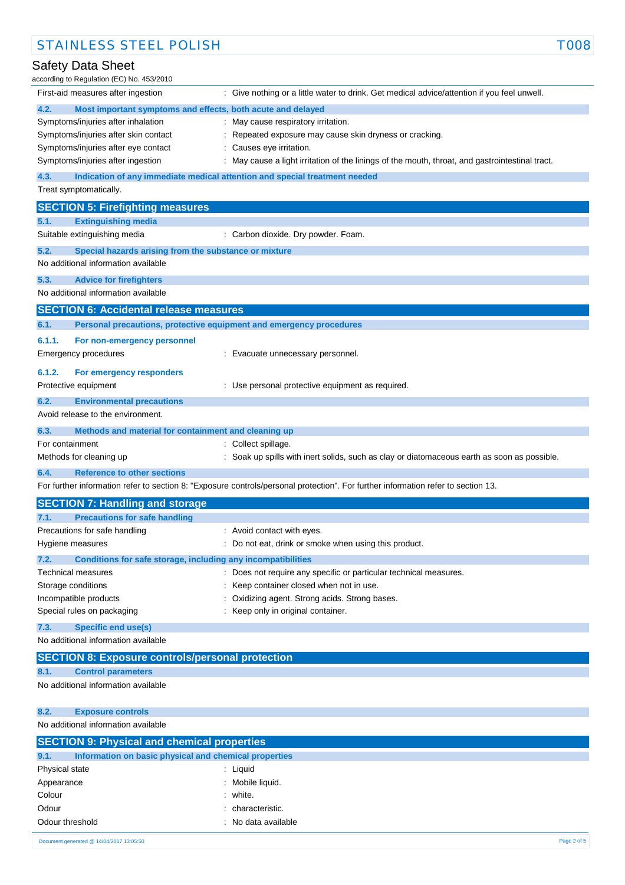| ccording to Regulation (EC) No. 453/2010                                           |                                                                                                                                   |
|------------------------------------------------------------------------------------|-----------------------------------------------------------------------------------------------------------------------------------|
| First-aid measures after ingestion                                                 | : Give nothing or a little water to drink. Get medical advice/attention if you feel unwell.                                       |
| Most important symptoms and effects, both acute and delayed<br>4.2.                |                                                                                                                                   |
| Symptoms/injuries after inhalation                                                 | : May cause respiratory irritation.                                                                                               |
| Symptoms/injuries after skin contact                                               | : Repeated exposure may cause skin dryness or cracking.                                                                           |
| Symptoms/injuries after eye contact                                                | Causes eye irritation.                                                                                                            |
| Symptoms/injuries after ingestion                                                  | : May cause a light irritation of the linings of the mouth, throat, and gastrointestinal tract.                                   |
| 4.3.<br>Indication of any immediate medical attention and special treatment needed |                                                                                                                                   |
| Treat symptomatically.                                                             |                                                                                                                                   |
| <b>SECTION 5: Firefighting measures</b>                                            |                                                                                                                                   |
| 5.1.<br><b>Extinguishing media</b>                                                 |                                                                                                                                   |
| Suitable extinguishing media                                                       | : Carbon dioxide. Dry powder. Foam.                                                                                               |
| 5.2.<br>Special hazards arising from the substance or mixture                      |                                                                                                                                   |
| No additional information available                                                |                                                                                                                                   |
| 5.3.<br><b>Advice for firefighters</b>                                             |                                                                                                                                   |
| No additional information available                                                |                                                                                                                                   |
| <b>SECTION 6: Accidental release measures</b>                                      |                                                                                                                                   |
| 6.1.<br>Personal precautions, protective equipment and emergency procedures        |                                                                                                                                   |
|                                                                                    |                                                                                                                                   |
| 6.1.1.<br>For non-emergency personnel                                              |                                                                                                                                   |
| <b>Emergency procedures</b>                                                        | : Evacuate unnecessary personnel.                                                                                                 |
| 6.1.2.<br>For emergency responders                                                 |                                                                                                                                   |
| Protective equipment                                                               | : Use personal protective equipment as required.                                                                                  |
| 6.2.<br><b>Environmental precautions</b>                                           |                                                                                                                                   |
| Avoid release to the environment.                                                  |                                                                                                                                   |
| 6.3.<br>Methods and material for containment and cleaning up                       |                                                                                                                                   |
| For containment                                                                    | Collect spillage.                                                                                                                 |
| Methods for cleaning up                                                            | Soak up spills with inert solids, such as clay or diatomaceous earth as soon as possible.                                         |
| <b>Reference to other sections</b><br>6.4.                                         |                                                                                                                                   |
|                                                                                    | For further information refer to section 8: "Exposure controls/personal protection". For further information refer to section 13. |
| <b>SECTION 7: Handling and storage</b>                                             |                                                                                                                                   |
| <b>Precautions for safe handling</b><br>7.1.                                       |                                                                                                                                   |
| Precautions for safe handling                                                      | : Avoid contact with eyes.                                                                                                        |
| Hygiene measures                                                                   | : Do not eat, drink or smoke when using this product.                                                                             |
| 7.2.<br>Conditions for safe storage, including any incompatibilities               |                                                                                                                                   |
| Technical measures                                                                 | : Does not require any specific or particular technical measures.                                                                 |
| Storage conditions                                                                 | Keep container closed when not in use.                                                                                            |
| Incompatible products                                                              | Oxidizing agent. Strong acids. Strong bases.                                                                                      |
| Special rules on packaging                                                         | Keep only in original container.                                                                                                  |
| 7.3.<br>Specific end use(s)                                                        |                                                                                                                                   |
| No additional information available                                                |                                                                                                                                   |
| <b>SECTION 8: Exposure controls/personal protection</b>                            |                                                                                                                                   |
| 8.1.<br><b>Control parameters</b>                                                  |                                                                                                                                   |
| No additional information available                                                |                                                                                                                                   |
| 8.2.<br><b>Exposure controls</b>                                                   |                                                                                                                                   |
| No additional information available                                                |                                                                                                                                   |
| <b>SECTION 9: Physical and chemical properties</b>                                 |                                                                                                                                   |
| 9.1.<br>Information on basic physical and chemical properties                      |                                                                                                                                   |
| Physical state                                                                     | : Liquid                                                                                                                          |

## Safety Data Sheet accor

Appearance : Mobile liquid. Colour : white. Odour : characteristic. Odour threshold **Drawing Contract Contract Contract Contract Contract Contract Contract Contract Contract Contract Contract Contract Contract Contract Contract Contract Contract Contract Contract Contract Contract Contract**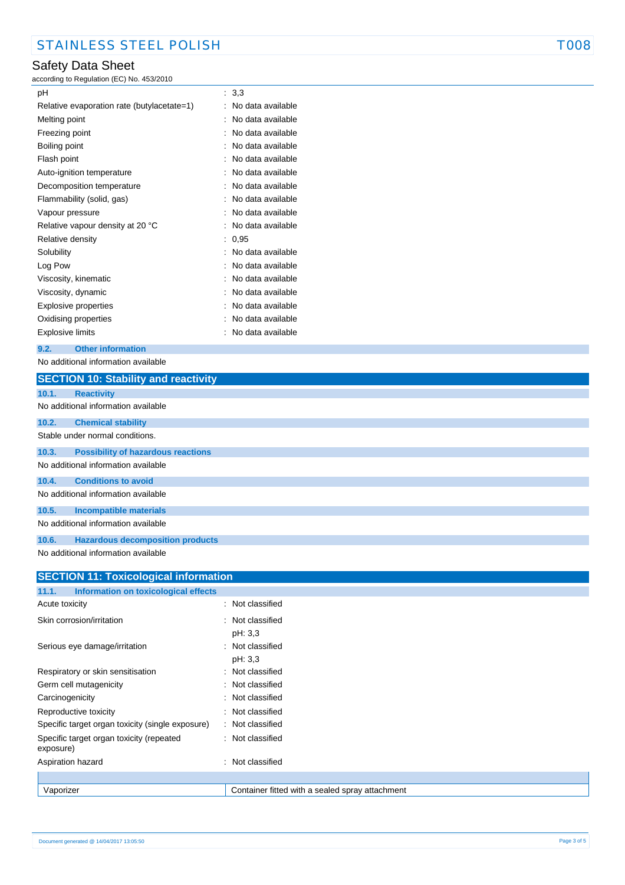# Safety Data Sheet

according to Regulation (EC) No. 453/2010

| рH                                         | : 3.3             |
|--------------------------------------------|-------------------|
| Relative evaporation rate (butylacetate=1) | No data available |
| Melting point                              | No data available |
| Freezing point                             | No data available |
| Boiling point                              | No data available |
| Flash point                                | No data available |
| Auto-ignition temperature                  | No data available |
| Decomposition temperature                  | No data available |
| Flammability (solid, gas)                  | No data available |
| Vapour pressure                            | No data available |
| Relative vapour density at 20 °C           | No data available |
| Relative density                           | 0,95              |
| Solubility                                 | No data available |
| Log Pow                                    | No data available |
| Viscosity, kinematic                       | No data available |
| Viscosity, dynamic                         | No data available |
| Explosive properties                       | No data available |
| Oxidising properties                       | No data available |
| Explosive limits                           | No data available |

### **9.2. Other information**

No additional information available

|       | <b>SECTION 10: Stability and reactivity</b>                      |
|-------|------------------------------------------------------------------|
| 10.1. | <b>Reactivity</b>                                                |
|       | No additional information available                              |
| 10.2. | <b>Chemical stability</b>                                        |
|       | Stable under normal conditions.                                  |
| 10.3. | <b>Possibility of hazardous reactions</b>                        |
|       | No additional information available                              |
| 10.4. | <b>Conditions to avoid</b>                                       |
|       | No additional information available                              |
| 10.5. | <b>Incompatible materials</b>                                    |
|       | No additional information available                              |
| 10.6. | <b>Hazardous decomposition products</b>                          |
|       | . A har an albhid is a faile base of the second base of the late |

No additional information available

| <b>SECTION 11: Toxicological information</b>          |                                                 |  |
|-------------------------------------------------------|-------------------------------------------------|--|
| 11.1.<br>Information on toxicological effects         |                                                 |  |
| Acute toxicity                                        | : Not classified                                |  |
| Skin corrosion/irritation                             | : Not classified<br>pH: 3,3                     |  |
| Serious eye damage/irritation                         | : Not classified<br>pH: 3,3                     |  |
| Respiratory or skin sensitisation                     | Not classified<br>÷                             |  |
| Germ cell mutagenicity                                | Not classified<br>÷                             |  |
| Carcinogenicity                                       | : Not classified                                |  |
| Reproductive toxicity                                 | : Not classified                                |  |
| Specific target organ toxicity (single exposure)      | : Not classified                                |  |
| Specific target organ toxicity (repeated<br>exposure) | : Not classified                                |  |
| Aspiration hazard                                     | : Not classified                                |  |
|                                                       |                                                 |  |
| Vaporizer                                             | Container fitted with a sealed spray attachment |  |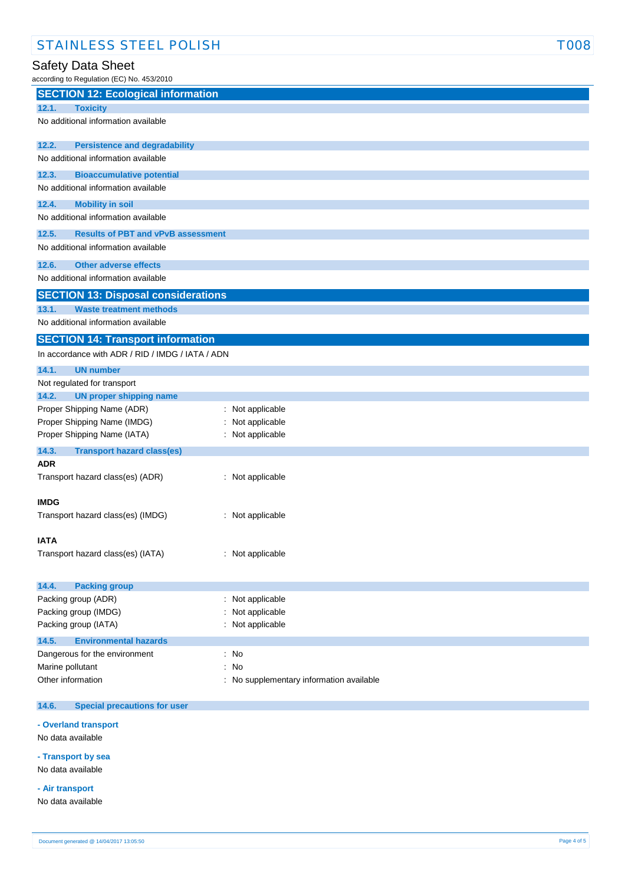# Safety Data Sheet

according to Regulation (EC) No. 453/2010

| $\frac{1}{2}$ is a set of $\frac{1}{2}$<br><b>SECTION 12: Ecological information</b> |                                          |  |  |
|--------------------------------------------------------------------------------------|------------------------------------------|--|--|
|                                                                                      |                                          |  |  |
| 12.1.<br><b>Toxicity</b>                                                             |                                          |  |  |
| No additional information available                                                  |                                          |  |  |
| 12.2.<br><b>Persistence and degradability</b>                                        |                                          |  |  |
| No additional information available                                                  |                                          |  |  |
| 12.3.<br><b>Bioaccumulative potential</b>                                            |                                          |  |  |
| No additional information available                                                  |                                          |  |  |
| 12.4.<br><b>Mobility in soil</b>                                                     |                                          |  |  |
| No additional information available                                                  |                                          |  |  |
| 12.5.<br><b>Results of PBT and vPvB assessment</b>                                   |                                          |  |  |
| No additional information available                                                  |                                          |  |  |
| <b>Other adverse effects</b><br>12.6.                                                |                                          |  |  |
| No additional information available                                                  |                                          |  |  |
| <b>SECTION 13: Disposal considerations</b>                                           |                                          |  |  |
| 13.1.<br><b>Waste treatment methods</b>                                              |                                          |  |  |
| No additional information available                                                  |                                          |  |  |
| <b>SECTION 14: Transport information</b>                                             |                                          |  |  |
| In accordance with ADR / RID / IMDG / IATA / ADN                                     |                                          |  |  |
| 14.1.<br><b>UN number</b>                                                            |                                          |  |  |
| Not regulated for transport                                                          |                                          |  |  |
| 14.2.<br><b>UN proper shipping name</b>                                              |                                          |  |  |
| Proper Shipping Name (ADR)                                                           | : Not applicable                         |  |  |
| Proper Shipping Name (IMDG)                                                          | Not applicable                           |  |  |
| Proper Shipping Name (IATA)                                                          | : Not applicable                         |  |  |
| 14.3.<br><b>Transport hazard class(es)</b>                                           |                                          |  |  |
| <b>ADR</b>                                                                           |                                          |  |  |
| Transport hazard class(es) (ADR)                                                     | : Not applicable                         |  |  |
| <b>IMDG</b>                                                                          |                                          |  |  |
| Transport hazard class(es) (IMDG)                                                    | : Not applicable                         |  |  |
|                                                                                      |                                          |  |  |
| IATA                                                                                 |                                          |  |  |
| Transport hazard class(es) (IATA)                                                    | : Not applicable                         |  |  |
| 14.4.<br><b>Packing group</b>                                                        |                                          |  |  |
| Packing group (ADR)                                                                  | : Not applicable                         |  |  |
| Packing group (IMDG)                                                                 | Not applicable                           |  |  |
| Packing group (IATA)                                                                 | : Not applicable                         |  |  |
|                                                                                      |                                          |  |  |
| 14.5.<br><b>Environmental hazards</b>                                                |                                          |  |  |
| Dangerous for the environment                                                        | : No                                     |  |  |
| Marine pollutant                                                                     | : No                                     |  |  |
| Other information                                                                    | : No supplementary information available |  |  |
| 14.6.<br><b>Special precautions for user</b>                                         |                                          |  |  |
|                                                                                      |                                          |  |  |

### **- Overland transport**

No data available

**- Transport by sea** No data available

**- Air transport**

No data available